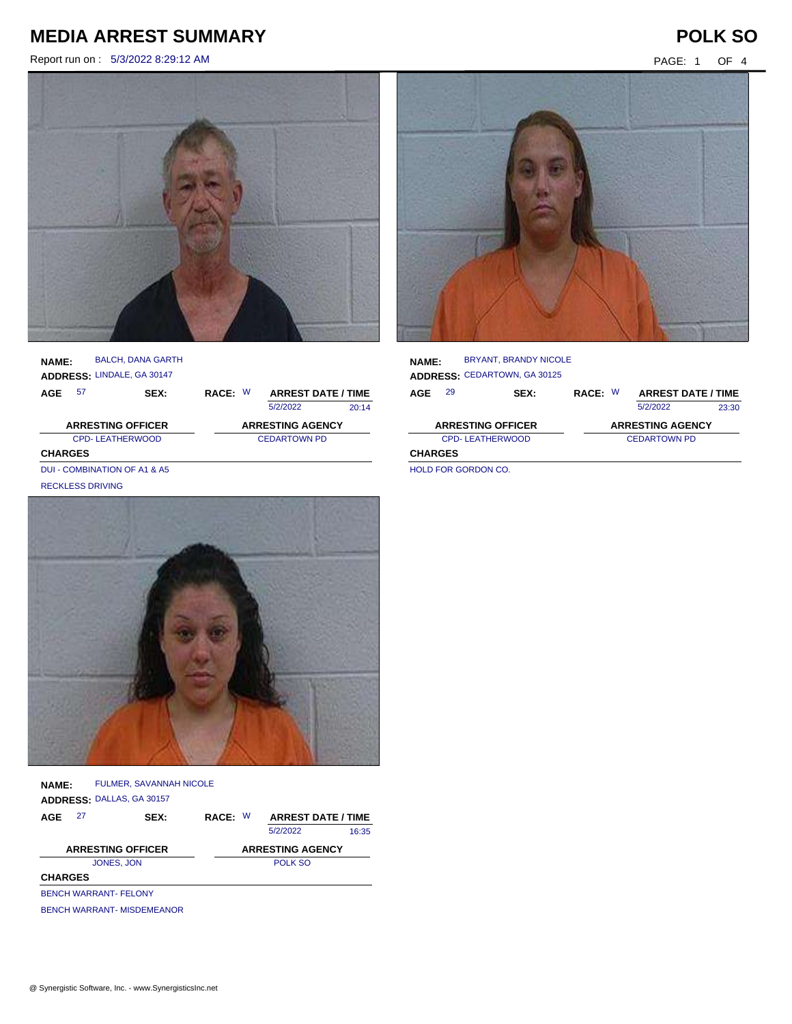Report run on : 5/3/2022 8:29:12 AM PAGE: 1 OF 4



### **NAME: ADDRESS:** LINDALE, GA 30147 BALCH, DANA GARTH

| AGE            | 57                           | SEX: | RACE: W             |  | <b>ARREST DATE / TIME</b> |       |
|----------------|------------------------------|------|---------------------|--|---------------------------|-------|
|                |                              |      |                     |  | 5/2/2022                  | 20:14 |
|                | <b>ARRESTING OFFICER</b>     |      |                     |  | <b>ARRESTING AGENCY</b>   |       |
|                | <b>CPD-LEATHERWOOD</b>       |      | <b>CEDARTOWN PD</b> |  |                           |       |
| <b>CHARGES</b> |                              |      |                     |  |                           |       |
|                | DUI - COMBINATION OF A1 & A5 |      |                     |  |                           |       |

RECKLESS DRIVING



**NAME: ADDRESS:** DALLAS, GA 30157 FULMER, SAVANNAH NICOLE

| AGE            | 27                           | SEX:                              | RACE: W | <b>ARREST DATE / TIME</b> |       |
|----------------|------------------------------|-----------------------------------|---------|---------------------------|-------|
|                |                              |                                   |         | 5/2/2022                  | 16:35 |
|                |                              | <b>ARRESTING OFFICER</b>          |         | <b>ARRESTING AGENCY</b>   |       |
|                |                              | JONES, JON                        |         | POLK SO                   |       |
| <b>CHARGES</b> |                              |                                   |         |                           |       |
|                | <b>BENCH WARRANT- FELONY</b> |                                   |         |                           |       |
|                |                              | <b>BENCH WARRANT- MISDEMEANOR</b> |         |                           |       |



| <b>NAME:</b>           | <b>BRYANT, BRANDY NICOLE</b>        |                     |                           |       |
|------------------------|-------------------------------------|---------------------|---------------------------|-------|
|                        | <b>ADDRESS: CEDARTOWN, GA 30125</b> |                     |                           |       |
| 29<br>AGE              | SEX:                                | RACE: W             | <b>ARREST DATE / TIME</b> |       |
|                        |                                     |                     | 5/2/2022                  | 23:30 |
|                        | <b>ARRESTING OFFICER</b>            |                     | <b>ARRESTING AGENCY</b>   |       |
| <b>CPD-LEATHERWOOD</b> |                                     | <b>CEDARTOWN PD</b> |                           |       |
| <b>CHARGES</b>         |                                     |                     |                           |       |

HOLD FOR GORDON CO.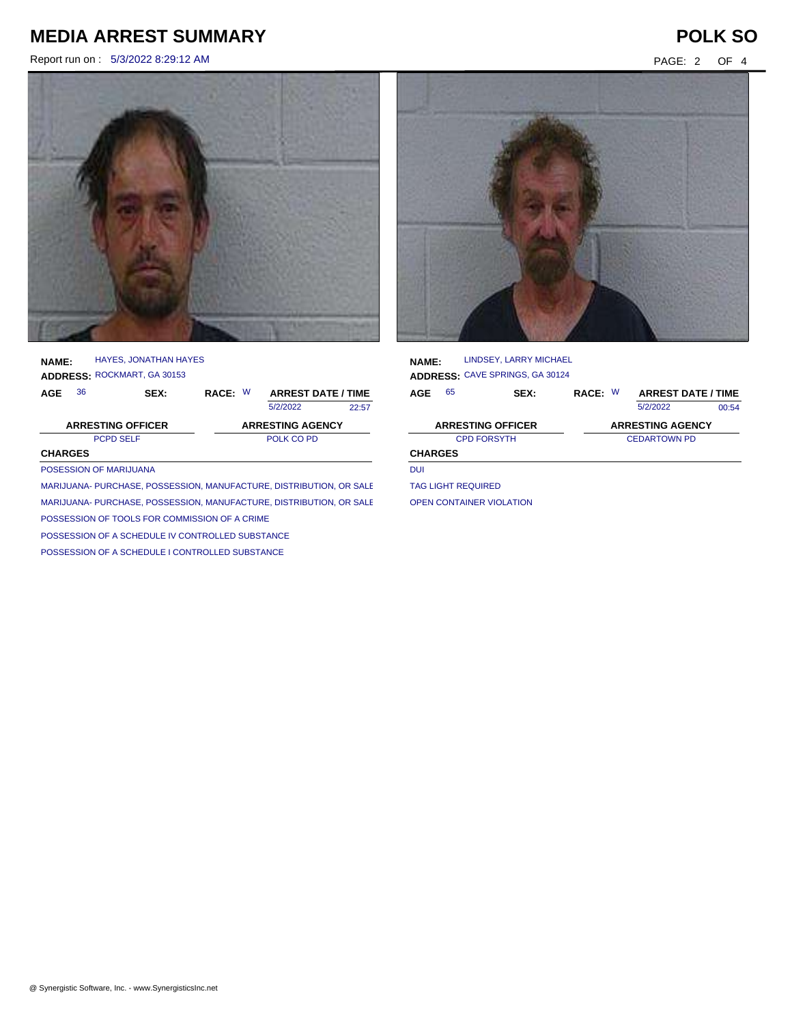Report run on : 5/3/2022 8:29:12 AM PAGE: 2 OF 4



**NAME: ADDRESS:** ROCKMART, GA 30153 HAYES, JONATHAN HAYES

| AGE            | 36 | SEX:                     | RACE: W |                         | <b>ARREST DATE / TIME</b> |  |
|----------------|----|--------------------------|---------|-------------------------|---------------------------|--|
|                |    |                          |         | 5/2/2022                | 22:57                     |  |
|                |    | <b>ARRESTING OFFICER</b> |         | <b>ARRESTING AGENCY</b> |                           |  |
|                |    | <b>PCPD SELF</b>         |         | POLK CO PD              |                           |  |
| <b>CHARGES</b> |    |                          |         |                         |                           |  |
|                |    | POSESSION OF MARIJUANA   |         |                         |                           |  |
|                |    |                          |         |                         |                           |  |

MARIJUANA- PURCHASE, POSSESSION, MANUFACTURE, DISTRIBUTION, OR SALE MARIJUANA- PURCHASE, POSSESSION, MANUFACTURE, DISTRIBUTION, OR SALE POSSESSION OF TOOLS FOR COMMISSION OF A CRIME

POSSESSION OF A SCHEDULE IV CONTROLLED SUBSTANCE

POSSESSION OF A SCHEDULE I CONTROLLED SUBSTANCE

LINDSEY, LARRY MICHAEL

**AGE NAME: ADDRESS:** CAVE SPRINGS, GA 30124 RACE: W 5/2/2022 CPD FORSYTH CEDARTOWN PD **CHARGES** 00:54 **ARRESTING OFFICER ARRESTING AGENCY** 65 **SEX: RACE: ARREST DATE / TIME** DUI TAG LIGHT REQUIRED

OPEN CONTAINER VIOLATION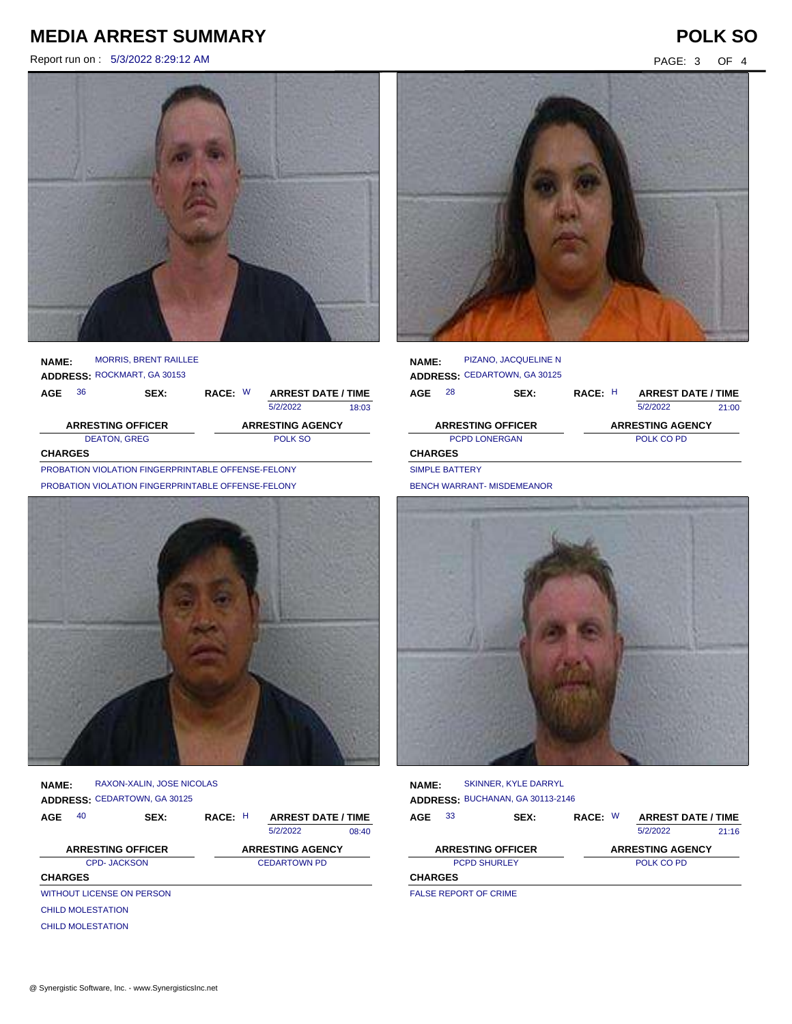Report run on : 5/3/2022 8:29:12 AM PAGE: 3 OF 4



### **NAME:** MORRIS, BRENT RAILLEE ROCKMART, GA 30153

|                     | <b>ADDRESS: ROCKMART, GA 30153</b> |      |                         |  |                           |       |
|---------------------|------------------------------------|------|-------------------------|--|---------------------------|-------|
| AGE                 | 36                                 | SEX: | RACE: W                 |  | <b>ARREST DATE / TIME</b> |       |
|                     |                                    |      |                         |  | 5/2/2022                  | 18:03 |
|                     | <b>ARRESTING OFFICER</b>           |      | <b>ARRESTING AGENCY</b> |  |                           |       |
| <b>DEATON, GREG</b> |                                    |      |                         |  | POLK SO                   |       |
| <b>CHARGES</b>      |                                    |      |                         |  |                           |       |

PROBATION VIOLATION FINGERPRINTABLE OFFENSE-FELONY PROBATION VIOLATION FINGERPRINTABLE OFFENSE-FELONY



**NAME: ADDRESS:** CEDARTOWN, GA 30125 RAXON-XALIN, JOSE NICOLAS

| 40<br>AGE      |                                  | SEX: | RACE: H | <b>ARREST DATE / TIME</b> |       |
|----------------|----------------------------------|------|---------|---------------------------|-------|
|                |                                  |      |         | 5/2/2022                  | 08:40 |
|                | <b>ARRESTING OFFICER</b>         |      |         | <b>ARRESTING AGENCY</b>   |       |
|                | <b>CPD-JACKSON</b>               |      |         | <b>CEDARTOWN PD</b>       |       |
| <b>CHARGES</b> |                                  |      |         |                           |       |
|                | <b>WITHOUT LICENSE ON PERSON</b> |      |         |                           |       |
|                | <b>CHILD MOLESTATION</b>         |      |         |                           |       |
|                | <b>CHILD MOLESTATION</b>         |      |         |                           |       |



| <b>NAME:</b>             |                      | PIZANO, JACQUELINE N<br>ADDRESS: CEDARTOWN, GA 30125 |         |                           |       |
|--------------------------|----------------------|------------------------------------------------------|---------|---------------------------|-------|
| AGE                      | 28                   | SEX:                                                 | RACE: H | <b>ARREST DATE / TIME</b> |       |
|                          |                      |                                                      |         | 5/2/2022                  | 21:00 |
| <b>ARRESTING OFFICER</b> |                      |                                                      |         | <b>ARRESTING AGENCY</b>   |       |
|                          | <b>PCPD LONERGAN</b> |                                                      |         | POLK CO PD                |       |
| <b>CHARGES</b>           |                      |                                                      |         |                           |       |
| <b>SIMPLE BATTERY</b>    |                      |                                                      |         |                           |       |

BENCH WARRANT- MISDEMEANOR



**NAME: ADDRESS:** BUCHANAN, GA 30113-2146 SKINNER, KYLE DARRYL

| AGE            | 33 | SEX:                     | RACE: W |            | <b>ARREST DATE / TIME</b> |       |  |
|----------------|----|--------------------------|---------|------------|---------------------------|-------|--|
|                |    |                          |         |            | 5/2/2022                  | 21.16 |  |
|                |    | <b>ARRESTING OFFICER</b> |         |            | <b>ARRESTING AGENCY</b>   |       |  |
|                |    | <b>PCPD SHURLEY</b>      |         | POLK CO PD |                           |       |  |
| <b>CHARGES</b> |    |                          |         |            |                           |       |  |
|                |    |                          |         |            |                           |       |  |

FALSE REPORT OF CRIME